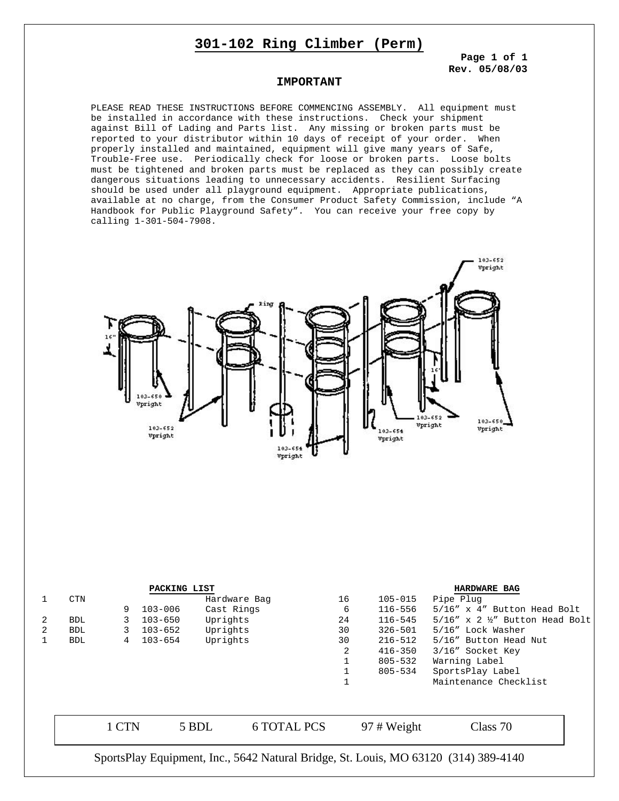## **301-102 Ring Climber (Perm)**

**Page 1 of 1 Rev. 05/08/03**

### **IMPORTANT**

PLEASE READ THESE INSTRUCTIONS BEFORE COMMENCING ASSEMBLY. All equipment must be installed in accordance with these instructions. Check your shipment against Bill of Lading and Parts list. Any missing or broken parts must be reported to your distributor within 10 days of receipt of your order. When properly installed and maintained, equipment will give many years of Safe, Trouble-Free use. Periodically check for loose or broken parts. Loose bolts must be tightened and broken parts must be replaced as they can possibly create dangerous situations leading to unnecessary accidents. Resilient Surfacing should be used under all playground equipment. Appropriate publications, available at no charge, from the Consumer Product Safety Commission, include "A Handbook for Public Playground Safety". You can receive your free copy by calling 1-301-504-7908.



| PACKING LIST |                                                                                     |       |                         |              |                    |    | <b>HARDWARE BAG</b> |                                               |  |
|--------------|-------------------------------------------------------------------------------------|-------|-------------------------|--------------|--------------------|----|---------------------|-----------------------------------------------|--|
|              | <b>CTN</b>                                                                          |       |                         | Hardware Bag |                    | 16 | $105 - 015$         | Pipe Plug                                     |  |
|              |                                                                                     | 9     | $103 - 006$             | Cast Rings   |                    | 6  | 116-556             | 5/16" x 4" Button Head Bolt                   |  |
| 2            | <b>BDL</b>                                                                          | 3     | $103 - 650$             | Uprights     |                    | 24 | 116-545             | $5/16''$ x 2 $\frac{1}{2}''$ Button Head Bolt |  |
| 2            | <b>BDL</b>                                                                          | 3     | $103 - 652$             | Uprights     |                    | 30 | $326 - 501$         | 5/16" Lock Washer                             |  |
|              | <b>BDL</b>                                                                          | 4     | Uprights<br>$103 - 654$ |              |                    | 30 | $216 - 512$         | 5/16" Button Head Nut                         |  |
|              |                                                                                     |       |                         |              |                    | 2  | $416 - 350$         | 3/16" Socket Key                              |  |
|              |                                                                                     |       |                         |              |                    |    | $805 - 532$         | Warning Label                                 |  |
|              |                                                                                     |       |                         |              |                    |    | 805-534             | SportsPlay Label                              |  |
|              |                                                                                     |       |                         |              |                    |    |                     | Maintenance Checklist                         |  |
|              |                                                                                     |       |                         |              |                    |    |                     |                                               |  |
|              |                                                                                     | 1 CTN |                         | 5 BDL        | <b>6 TOTAL PCS</b> |    | $97 \# Weight$      | Class 70                                      |  |
|              | SportsPlay Equipment, Inc., 5642 Natural Bridge, St. Louis, MO 63120 (314) 389-4140 |       |                         |              |                    |    |                     |                                               |  |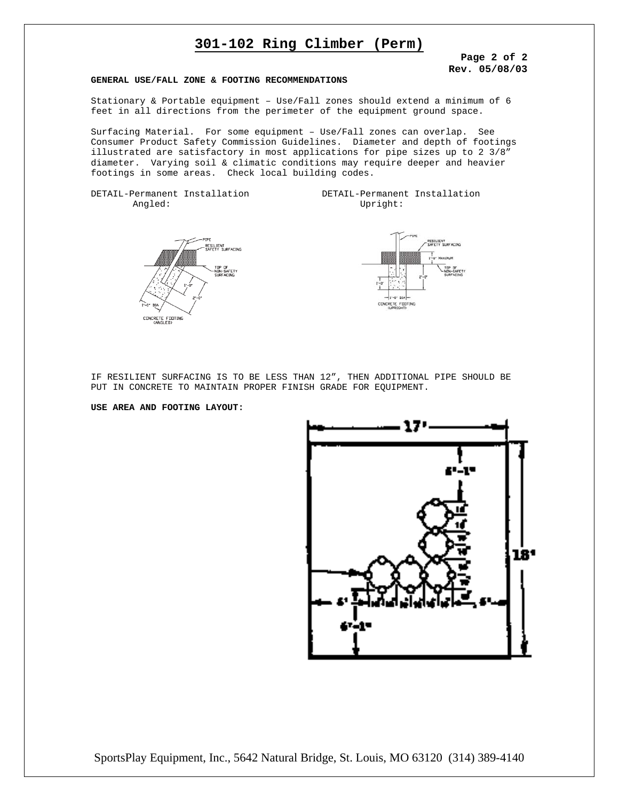# **301-102 Ring Climber (Perm)**

**Page 2 of 2 Rev. 05/08/03**

#### **GENERAL USE/FALL ZONE & FOOTING RECOMMENDATIONS**

Stationary & Portable equipment – Use/Fall zones should extend a minimum of 6 feet in all directions from the perimeter of the equipment ground space.

Surfacing Material. For some equipment – Use/Fall zones can overlap. See Consumer Product Safety Commission Guidelines. Diameter and depth of footings illustrated are satisfactory in most applications for pipe sizes up to 2 3/8" diameter. Varying soil & climatic conditions may require deeper and heavier footings in some areas. Check local building codes.

DETAIL-Permanent Installation DETAIL-Permanent Installation Angled: Upright:





IF RESILIENT SURFACING IS TO BE LESS THAN 12", THEN ADDITIONAL PIPE SHOULD BE PUT IN CONCRETE TO MAINTAIN PROPER FINISH GRADE FOR EQUIPMENT.

#### **USE AREA AND FOOTING LAYOUT:**



SportsPlay Equipment, Inc., 5642 Natural Bridge, St. Louis, MO 63120 (314) 389-4140